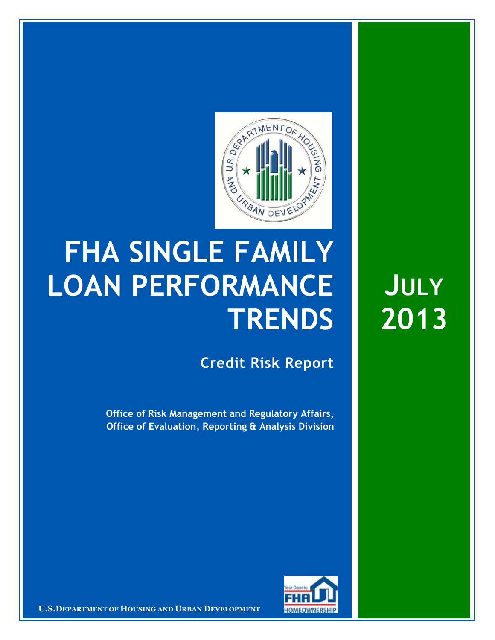

## **FHA SINGLE FAMILY LOAN PERFORMANCE TRENDS**

**Credit Risk Report**

**Office of Risk Management and Regulatory Affairs, Office of Evaluation, Reporting & Analysis Division**



**CONFIDENTIAL EXTERNAL TO BUSING AND URBAN DEVELOPMENT THE HOMEOWNERSHIP** 

**JULY 2013**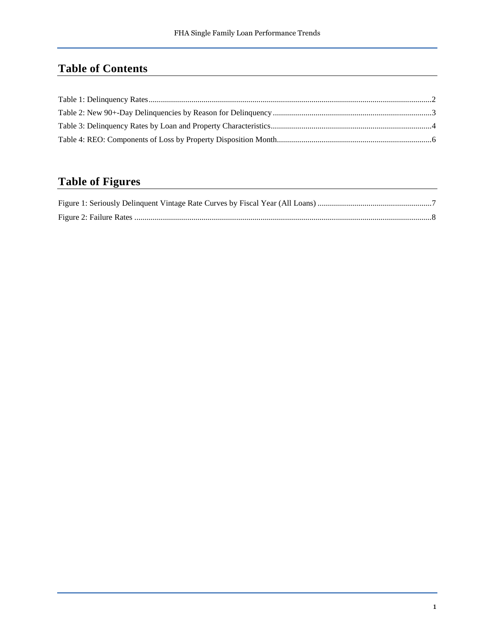## **Table of Contents**

## **Table of Figures**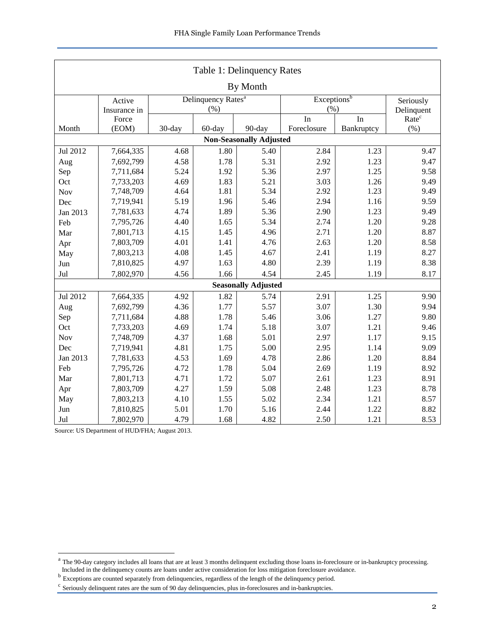<span id="page-2-0"></span>

| Table 1: Delinquency Rates     |              |                                |                         |                            |             |            |                   |  |  |  |  |
|--------------------------------|--------------|--------------------------------|-------------------------|----------------------------|-------------|------------|-------------------|--|--|--|--|
| By Month                       |              |                                |                         |                            |             |            |                   |  |  |  |  |
|                                | Active       | Delinquency Rates <sup>a</sup> | Exceptions <sup>b</sup> | Seriously                  |             |            |                   |  |  |  |  |
|                                | Insurance in |                                | (% )                    |                            | (% )        | Delinquent |                   |  |  |  |  |
|                                | Force        |                                |                         |                            | In          | In         | Rate <sup>c</sup> |  |  |  |  |
| Month                          | (EOM)        | 30-day                         | 60-day                  | 90-day                     | Foreclosure | Bankruptcy | $(\% )$           |  |  |  |  |
| <b>Non-Seasonally Adjusted</b> |              |                                |                         |                            |             |            |                   |  |  |  |  |
| Jul 2012                       | 7,664,335    | 4.68                           | 1.80                    | 5.40                       | 2.84        | 1.23       | 9.47              |  |  |  |  |
| Aug                            | 7,692,799    | 4.58                           | 1.78                    | 5.31                       | 2.92        | 1.23       | 9.47              |  |  |  |  |
| Sep                            | 7,711,684    | 5.24                           | 1.92                    | 5.36                       | 2.97        | 1.25       | 9.58              |  |  |  |  |
| Oct                            | 7,733,203    | 4.69                           | 1.83                    | 5.21                       | 3.03        | 1.26       | 9.49              |  |  |  |  |
| Nov                            | 7,748,709    | 4.64                           | 1.81                    | 5.34                       | 2.92        | 1.23       | 9.49              |  |  |  |  |
| Dec                            | 7,719,941    | 5.19                           | 1.96                    | 5.46                       | 2.94        | 1.16       | 9.59              |  |  |  |  |
| Jan 2013                       | 7,781,633    | 4.74                           | 1.89                    | 5.36                       | 2.90        | 1.23       | 9.49              |  |  |  |  |
| Feb                            | 7,795,726    | 4.40                           | 1.65                    | 5.34                       | 2.74        | 1.20       | 9.28              |  |  |  |  |
| Mar                            | 7,801,713    | 4.15                           | 1.45                    | 4.96                       | 2.71        | 1.20       | 8.87              |  |  |  |  |
| Apr                            | 7,803,709    | 4.01                           | 1.41                    | 4.76                       | 2.63        | 1.20       | 8.58              |  |  |  |  |
| May                            | 7,803,213    | 4.08                           | 1.45                    | 4.67                       | 2.41        | 1.19       | 8.27              |  |  |  |  |
| Jun                            | 7,810,825    | 4.97                           | 1.63                    | 4.80                       | 2.39        | 1.19       | 8.38              |  |  |  |  |
| Jul                            | 7,802,970    | 4.56                           | 1.66                    | 4.54                       | 2.45        | 1.19       | 8.17              |  |  |  |  |
|                                |              |                                |                         | <b>Seasonally Adjusted</b> |             |            |                   |  |  |  |  |
| Jul 2012                       | 7,664,335    | 4.92                           | 1.82                    | 5.74                       | 2.91        | 1.25       | 9.90              |  |  |  |  |
| Aug                            | 7,692,799    | 4.36                           | 1.77                    | 5.57                       | 3.07        | 1.30       | 9.94              |  |  |  |  |
| Sep                            | 7,711,684    | 4.88                           | 1.78                    | 5.46                       | 3.06        | 1.27       | 9.80              |  |  |  |  |
| Oct                            | 7,733,203    | 4.69                           | 1.74                    | 5.18                       | 3.07        | 1.21       | 9.46              |  |  |  |  |
| Nov                            | 7,748,709    | 4.37                           | 1.68                    | 5.01                       | 2.97        | 1.17       | 9.15              |  |  |  |  |
| Dec                            | 7,719,941    | 4.81                           | 1.75                    | 5.00                       | 2.95        | 1.14       | 9.09              |  |  |  |  |
| Jan 2013                       | 7,781,633    | 4.53                           | 1.69                    | 4.78                       | 2.86        | 1.20       | 8.84              |  |  |  |  |
| Feb                            | 7,795,726    | 4.72                           | 1.78                    | 5.04                       | 2.69        | 1.19       | 8.92              |  |  |  |  |
| Mar                            | 7,801,713    | 4.71                           | 1.72                    | 5.07                       | 2.61        | 1.23       | 8.91              |  |  |  |  |
| Apr                            | 7,803,709    | 4.27                           | 1.59                    | 5.08                       | 2.48        | 1.23       | 8.78              |  |  |  |  |
| May                            | 7,803,213    | 4.10                           | 1.55                    | 5.02                       | 2.34        | 1.21       | 8.57              |  |  |  |  |
| Jun                            | 7,810,825    | 5.01                           | 1.70                    | 5.16                       | 2.44        | 1.22       | 8.82              |  |  |  |  |
| Jul                            | 7,802,970    | 4.79                           | 1.68                    | 4.82                       | 2.50        | 1.21       | 8.53              |  |  |  |  |

<span id="page-2-1"></span><sup>&</sup>lt;sup>a</sup> The 90-day category includes all loans that are at least 3 months delinquent excluding those loans in-foreclosure or in-bankruptcy processing. Included in the delinquency counts are loans under active consideration for loss mitigation foreclosure avoidance.<br><sup>b</sup> Exceptions are counted separately from delinquencies, regardless of the length of the delinquency perio

<span id="page-2-3"></span><span id="page-2-2"></span>

<sup>&</sup>lt;sup>c</sup> Seriously delinquent rates are the sum of 90 day delinquencies, plus in-foreclosures and in-bankruptcies.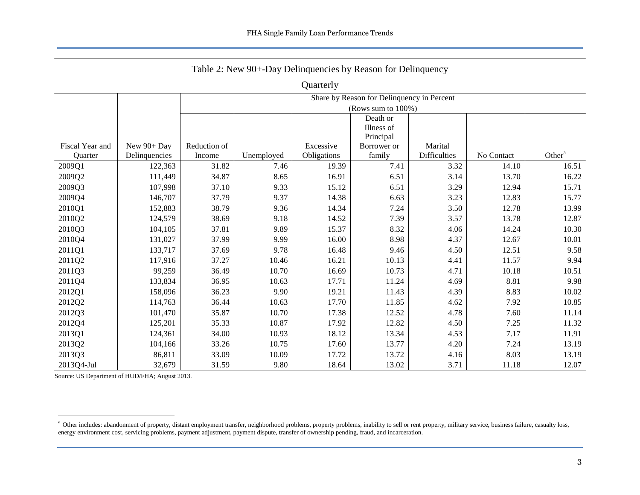<span id="page-3-0"></span>

| Table 2: New 90+-Day Delinquencies by Reason for Delinquency |                                            |                 |                    |                          |                       |                                |            |                    |  |  |  |  |  |
|--------------------------------------------------------------|--------------------------------------------|-----------------|--------------------|--------------------------|-----------------------|--------------------------------|------------|--------------------|--|--|--|--|--|
| Quarterly                                                    |                                            |                 |                    |                          |                       |                                |            |                    |  |  |  |  |  |
|                                                              | Share by Reason for Delinquency in Percent |                 |                    |                          |                       |                                |            |                    |  |  |  |  |  |
|                                                              |                                            |                 | (Rows sum to 100%) |                          |                       |                                |            |                    |  |  |  |  |  |
|                                                              |                                            |                 | Death or           |                          |                       |                                |            |                    |  |  |  |  |  |
|                                                              |                                            |                 |                    |                          | Illness of            |                                |            |                    |  |  |  |  |  |
|                                                              |                                            |                 |                    |                          | Principal             |                                |            |                    |  |  |  |  |  |
| Fiscal Year and<br>Quarter                                   | New 90+ Day<br>Delinquencies               | Reduction of    |                    | Excessive<br>Obligations | Borrower or<br>family | Marital<br><b>Difficulties</b> | No Contact | Other <sup>a</sup> |  |  |  |  |  |
| 2009Q1                                                       | 122,363                                    | Income<br>31.82 | Unemployed<br>7.46 | 19.39                    | 7.41                  | 3.32                           | 14.10      | 16.51              |  |  |  |  |  |
|                                                              |                                            | 34.87           | 8.65               |                          | 6.51                  | 3.14                           | 13.70      | 16.22              |  |  |  |  |  |
| 2009Q2                                                       | 111,449                                    |                 |                    | 16.91                    |                       |                                |            |                    |  |  |  |  |  |
| 2009Q3                                                       | 107,998                                    | 37.10           | 9.33               | 15.12                    | 6.51                  | 3.29                           | 12.94      | 15.71              |  |  |  |  |  |
| 2009Q4                                                       | 146,707                                    | 37.79           | 9.37               | 14.38                    | 6.63                  | 3.23                           | 12.83      | 15.77              |  |  |  |  |  |
| 2010Q1                                                       | 152,883                                    | 38.79           | 9.36               | 14.34                    | 7.24                  | 3.50                           | 12.78      | 13.99              |  |  |  |  |  |
| 2010Q2                                                       | 124,579                                    | 38.69           | 9.18               | 14.52                    | 7.39                  | 3.57                           | 13.78      | 12.87              |  |  |  |  |  |
| 2010Q3                                                       | 104,105                                    | 37.81           | 9.89               | 15.37                    | 8.32                  | 4.06                           | 14.24      | 10.30              |  |  |  |  |  |
| 2010Q4                                                       | 131,027                                    | 37.99           | 9.99               | 16.00                    | 8.98                  | 4.37                           | 12.67      | 10.01              |  |  |  |  |  |
| 2011Q1                                                       | 133,717                                    | 37.69           | 9.78               | 16.48                    | 9.46                  | 4.50                           | 12.51      | 9.58               |  |  |  |  |  |
| 2011Q2                                                       | 117,916                                    | 37.27           | 10.46              | 16.21                    | 10.13                 | 4.41                           | 11.57      | 9.94               |  |  |  |  |  |
| 2011Q3                                                       | 99,259                                     | 36.49           | 10.70              | 16.69                    | 10.73                 | 4.71                           | 10.18      | 10.51              |  |  |  |  |  |
| 2011Q4                                                       | 133,834                                    | 36.95           | 10.63              | 17.71                    | 11.24                 | 4.69                           | 8.81       | 9.98               |  |  |  |  |  |
| 2012Q1                                                       | 158,096                                    | 36.23           | 9.90               | 19.21                    | 11.43                 | 4.39                           | 8.83       | 10.02              |  |  |  |  |  |
| 2012Q2                                                       | 114,763                                    | 36.44           | 10.63              | 17.70                    | 11.85                 | 4.62                           | 7.92       | 10.85              |  |  |  |  |  |
| 2012Q3                                                       | 101,470                                    | 35.87           | 10.70              | 17.38                    | 12.52                 | 4.78                           | 7.60       | 11.14              |  |  |  |  |  |
| 2012Q4                                                       | 125,201                                    | 35.33           | 10.87              | 17.92                    | 12.82                 | 4.50                           | 7.25       | 11.32              |  |  |  |  |  |
| 2013Q1                                                       | 124,361                                    | 34.00           | 10.93              | 18.12                    | 13.34                 | 4.53                           | 7.17       | 11.91              |  |  |  |  |  |
| 2013Q2                                                       | 104,166                                    | 33.26           | 10.75              | 17.60                    | 13.77                 | 4.20                           | 7.24       | 13.19              |  |  |  |  |  |
| 2013Q3                                                       | 86,811                                     | 33.09           | 10.09              | 17.72                    | 13.72                 | 4.16                           | 8.03       | 13.19              |  |  |  |  |  |
| 2013Q4-Jul                                                   | 32,679                                     | 31.59           | 9.80               | 18.64                    | 13.02                 | 3.71                           | 11.18      | 12.07              |  |  |  |  |  |

<sup>&</sup>lt;sup>a</sup> Other includes: abandonment of property, distant employment transfer, neighborhood problems, property problems, inability to sell or rent property, military service, business failure, casualty loss, energy environment cost, servicing problems, payment adjustment, payment dispute, transfer of ownership pending, fraud, and incarceration.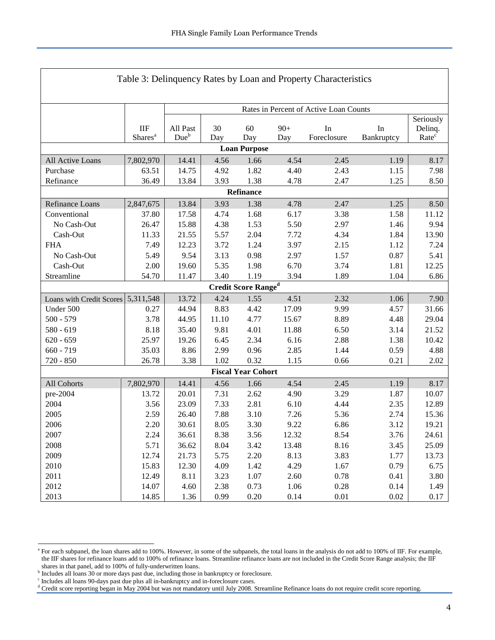<span id="page-4-0"></span>

| Table 3: Delinquency Rates by Loan and Property Characteristics                        |                            |                                        |              |                            |              |                   |                  |                              |  |  |  |
|----------------------------------------------------------------------------------------|----------------------------|----------------------------------------|--------------|----------------------------|--------------|-------------------|------------------|------------------------------|--|--|--|
|                                                                                        |                            |                                        |              |                            |              |                   |                  |                              |  |  |  |
|                                                                                        |                            | Rates in Percent of Active Loan Counts |              |                            |              |                   |                  |                              |  |  |  |
|                                                                                        |                            |                                        |              |                            |              |                   |                  | Seriously                    |  |  |  |
|                                                                                        | IIF<br>Shares <sup>a</sup> | All Past<br>Due <sup>b</sup>           | 30<br>Day    | 60<br>Day                  | $90+$<br>Day | In<br>Foreclosure | In<br>Bankruptcy | Delinq.<br>Rate <sup>c</sup> |  |  |  |
| <b>Loan Purpose</b>                                                                    |                            |                                        |              |                            |              |                   |                  |                              |  |  |  |
| 7,802,970<br>14.41<br>1.66<br>4.54<br>2.45<br>1.19<br>8.17<br>All Active Loans<br>4.56 |                            |                                        |              |                            |              |                   |                  |                              |  |  |  |
|                                                                                        |                            | 14.75                                  | 4.92         | 1.82                       | 4.40         | 2.43              |                  | 7.98                         |  |  |  |
| Purchase<br>Refinance                                                                  | 63.51<br>36.49             | 13.84                                  | 3.93         | 1.38                       | 4.78         | 2.47              | 1.15<br>1.25     | 8.50                         |  |  |  |
|                                                                                        |                            |                                        |              |                            |              |                   |                  |                              |  |  |  |
| Refinance                                                                              |                            |                                        |              |                            |              |                   |                  |                              |  |  |  |
| Refinance Loans                                                                        | 2,847,675                  | 13.84                                  | 3.93         | 1.38                       | 4.78         | 2.47              | 1.25             | 8.50                         |  |  |  |
| Conventional                                                                           | 37.80                      | 17.58                                  | 4.74         | 1.68                       | 6.17         | 3.38              | 1.58             | 11.12                        |  |  |  |
| No Cash-Out<br>Cash-Out                                                                | 26.47<br>11.33             | 15.88<br>21.55                         | 4.38         | 1.53                       | 5.50<br>7.72 | 2.97<br>4.34      | 1.46<br>1.84     | 9.94<br>13.90                |  |  |  |
| <b>FHA</b>                                                                             | 7.49                       | 12.23                                  | 5.57<br>3.72 | 2.04<br>1.24               | 3.97         | 2.15              | 1.12             | 7.24                         |  |  |  |
| No Cash-Out                                                                            | 5.49                       | 9.54                                   | 3.13         | 0.98                       | 2.97         | 1.57              | 0.87             | 5.41                         |  |  |  |
| Cash-Out                                                                               | 2.00                       | 19.60                                  | 5.35         | 1.98                       | 6.70         | 3.74              | 1.81             | 12.25                        |  |  |  |
| Streamline                                                                             | 54.70                      | 11.47                                  | 3.40         | 1.19                       | 3.94         | 1.89              | 1.04             | 6.86                         |  |  |  |
|                                                                                        |                            |                                        |              | <b>Credit Score Ranged</b> |              |                   |                  |                              |  |  |  |
| Loans with Credit Scores 5,311,548                                                     |                            | 13.72                                  | 4.24         | 1.55                       | 4.51         | 2.32              | 1.06             | 7.90                         |  |  |  |
| Under 500                                                                              | 0.27                       | 44.94                                  | 8.83         | 4.42                       | 17.09        | 9.99              | 4.57             | 31.66                        |  |  |  |
| $500 - 579$                                                                            | 3.78                       | 44.95                                  | 11.10        | 4.77                       | 15.67        | 8.89              | 4.48             | 29.04                        |  |  |  |
| $580 - 619$                                                                            | 8.18                       | 35.40                                  | 9.81         | 4.01                       | 11.88        | 6.50              | 3.14             | 21.52                        |  |  |  |
| $620 - 659$                                                                            | 25.97                      | 19.26                                  | 6.45         | 2.34                       | 6.16         | 2.88              | 1.38             | 10.42                        |  |  |  |
| $660 - 719$                                                                            | 35.03                      | 8.86                                   | 2.99         | 0.96                       | 2.85         | 1.44              | 0.59             | 4.88                         |  |  |  |
| 720 - 850                                                                              | 26.78                      | 3.38                                   | 1.02         | 0.32                       | 1.15         | 0.66              | 0.21             | 2.02                         |  |  |  |
|                                                                                        |                            |                                        |              | <b>Fiscal Year Cohort</b>  |              |                   |                  |                              |  |  |  |
| All Cohorts                                                                            | 7,802,970                  | 14.41                                  | 4.56         | 1.66                       | 4.54         | 2.45              | 1.19             | 8.17                         |  |  |  |
| pre-2004                                                                               | 13.72                      | 20.01                                  | 7.31         | 2.62                       | 4.90         | 3.29              | 1.87             | 10.07                        |  |  |  |
| 2004                                                                                   | 3.56                       | 23.09                                  | 7.33         | 2.81                       | 6.10         | 4.44              | 2.35             | 12.89                        |  |  |  |
| 2005                                                                                   | 2.59                       | 26.40                                  | 7.88         | 3.10                       | 7.26         | 5.36              | 2.74             | 15.36                        |  |  |  |
| 2006                                                                                   | 2.20                       | 30.61                                  | 8.05         | 3.30                       | 9.22         | 6.86              | 3.12             | 19.21                        |  |  |  |
| 2007                                                                                   | 2.24                       | 36.61                                  | 8.38         | 3.56                       | 12.32        | 8.54              | 3.76             | 24.61                        |  |  |  |
| 2008                                                                                   | 5.71                       | 36.62                                  | 8.04         | 3.42                       | 13.48        | 8.16              | 3.45             | 25.09                        |  |  |  |
| 2009                                                                                   | 12.74                      | 21.73                                  | 5.75         | 2.20                       | 8.13         | 3.83              | 1.77             | 13.73                        |  |  |  |
| 2010                                                                                   | 15.83                      | 12.30                                  | 4.09         | 1.42                       | 4.29         | 1.67              | 0.79             | 6.75                         |  |  |  |
| 2011                                                                                   | 12.49                      | 8.11                                   | 3.23         | 1.07                       | 2.60         | 0.78              | 0.41             | 3.80                         |  |  |  |
| 2012                                                                                   | 14.07                      | 4.60                                   | 2.38         | 0.73                       | 1.06         | 0.28              | 0.14             | 1.49                         |  |  |  |
| 2013                                                                                   | 14.85                      | 1.36                                   | 0.99         | 0.20                       | 0.14         | 0.01              | $0.02\,$         | 0.17                         |  |  |  |

Г

<span id="page-4-1"></span><sup>&</sup>lt;sup>a</sup> For each subpanel, the loan shares add to 100%. However, in some of the subpanels, the total loans in the analysis do not add to 100% of IIF. For example, the IIF shares for refinance loans add to 100% of refinance loans. Streamline refinance loans are not included in the Credit Score Range analysis; the IIF shares in that panel, add to 100% of fully-underwritten loans.

<span id="page-4-3"></span><span id="page-4-2"></span><sup>&</sup>lt;sup>b</sup> Includes all loans 30 or more days past due, including those in bankruptcy or foreclosure.

<span id="page-4-4"></span>c Includes all loans 90-days past due plus all in-bankruptcy and in-foreclosure cases.

<sup>&</sup>lt;sup>d</sup> Credit score reporting began in May 2004 but was not mandatory until July 2008. Streamline Refinance loans do not require credit score reporting.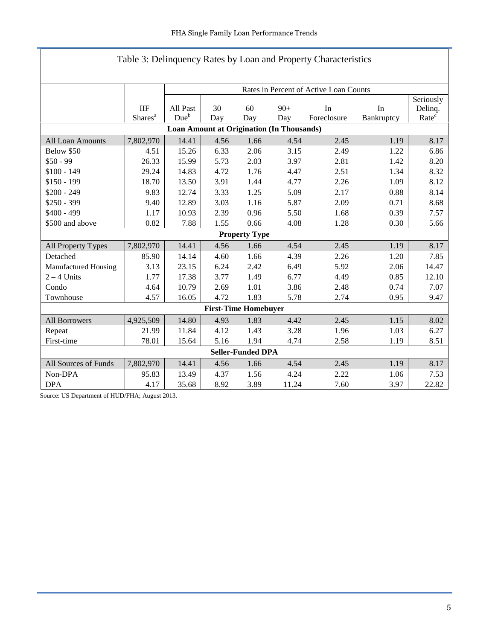| Table 3: Delinquency Rates by Loan and Property Characteristics                        |                          |                                                     |                                          |                      |       |             |            |                   |  |  |  |  |
|----------------------------------------------------------------------------------------|--------------------------|-----------------------------------------------------|------------------------------------------|----------------------|-------|-------------|------------|-------------------|--|--|--|--|
|                                                                                        |                          |                                                     |                                          |                      |       |             |            |                   |  |  |  |  |
|                                                                                        |                          | Rates in Percent of Active Loan Counts<br>Seriously |                                          |                      |       |             |            |                   |  |  |  |  |
|                                                                                        | <b>IIF</b>               | All Past                                            | 30<br>60<br>$90+$<br>In<br>In<br>Delinq. |                      |       |             |            |                   |  |  |  |  |
|                                                                                        | Shares <sup>a</sup>      | Due <sup>b</sup>                                    | Day                                      | Day                  | Day   | Foreclosure | Bankruptcy | Rate <sup>c</sup> |  |  |  |  |
| <b>Loan Amount at Origination (In Thousands)</b>                                       |                          |                                                     |                                          |                      |       |             |            |                   |  |  |  |  |
| 14.41<br>2.45<br>All Loan Amounts<br>7,802,970<br>4.56<br>1.66<br>4.54<br>1.19<br>8.17 |                          |                                                     |                                          |                      |       |             |            |                   |  |  |  |  |
| Below \$50                                                                             | 4.51                     | 15.26                                               | 6.33                                     | 2.06                 | 3.15  | 2.49        | 1.22       | 6.86              |  |  |  |  |
| $$50 - 99$                                                                             | 26.33                    | 15.99                                               | 5.73                                     | 2.03                 | 3.97  | 2.81        | 1.42       | 8.20              |  |  |  |  |
| $$100 - 149$                                                                           | 29.24                    | 14.83                                               | 4.72                                     | 1.76                 | 4.47  | 2.51        | 1.34       | 8.32              |  |  |  |  |
| $$150 - 199$                                                                           | 18.70                    | 13.50                                               | 3.91                                     | 1.44                 | 4.77  | 2.26        | 1.09       | 8.12              |  |  |  |  |
| $$200 - 249$                                                                           | 9.83                     | 12.74                                               | 3.33                                     | 1.25                 | 5.09  | 2.17        | 0.88       | 8.14              |  |  |  |  |
| $$250 - 399$                                                                           | 9.40                     | 12.89                                               | 3.03                                     | 1.16                 | 5.87  | 2.09        | 0.71       | 8.68              |  |  |  |  |
| $$400 - 499$                                                                           | 1.17                     | 10.93                                               | 2.39                                     | 0.96                 | 5.50  | 1.68        | 0.39       | 7.57              |  |  |  |  |
| \$500 and above                                                                        | 0.82                     | 7.88                                                | 1.55                                     | 0.66                 | 4.08  | 1.28        | 0.30       | 5.66              |  |  |  |  |
|                                                                                        |                          |                                                     |                                          | <b>Property Type</b> |       |             |            |                   |  |  |  |  |
| All Property Types                                                                     | 7,802,970                | 14.41                                               | 4.56                                     | 1.66                 | 4.54  | 2.45        | 1.19       | 8.17              |  |  |  |  |
| Detached                                                                               | 85.90                    | 14.14                                               | 4.60                                     | 1.66                 | 4.39  | 2.26        | 1.20       | 7.85              |  |  |  |  |
| Manufactured Housing                                                                   | 3.13                     | 23.15                                               | 6.24                                     | 2.42                 | 6.49  | 5.92        | 2.06       | 14.47             |  |  |  |  |
| $2 - 4$ Units                                                                          | 1.77                     | 17.38                                               | 3.77                                     | 1.49                 | 6.77  | 4.49        | 0.85       | 12.10             |  |  |  |  |
| Condo                                                                                  | 4.64                     | 10.79                                               | 2.69                                     | 1.01                 | 3.86  | 2.48        | 0.74       | 7.07              |  |  |  |  |
| Townhouse                                                                              | 4.57                     | 16.05                                               | 4.72                                     | 1.83                 | 5.78  | 2.74        | 0.95       | 9.47              |  |  |  |  |
|                                                                                        |                          |                                                     | <b>First-Time Homebuyer</b>              |                      |       |             |            |                   |  |  |  |  |
| All Borrowers                                                                          | 4,925,509                | 14.80                                               | 4.93                                     | 1.83                 | 4.42  | 2.45        | 1.15       | 8.02              |  |  |  |  |
| Repeat                                                                                 | 21.99                    | 11.84                                               | 4.12                                     | 1.43                 | 3.28  | 1.96        | 1.03       | 6.27              |  |  |  |  |
| First-time                                                                             | 78.01                    | 15.64                                               | 5.16                                     | 1.94                 | 4.74  | 2.58        | 1.19       | 8.51              |  |  |  |  |
|                                                                                        | <b>Seller-Funded DPA</b> |                                                     |                                          |                      |       |             |            |                   |  |  |  |  |
| All Sources of Funds                                                                   | 7,802,970                | 14.41                                               | 4.56                                     | 1.66                 | 4.54  | 2.45        | 1.19       | 8.17              |  |  |  |  |
| Non-DPA                                                                                | 95.83                    | 13.49                                               | 4.37                                     | 1.56                 | 4.24  | 2.22        | 1.06       | 7.53              |  |  |  |  |
| <b>DPA</b>                                                                             | 4.17                     | 35.68                                               | 8.92                                     | 3.89                 | 11.24 | 7.60        | 3.97       | 22.82             |  |  |  |  |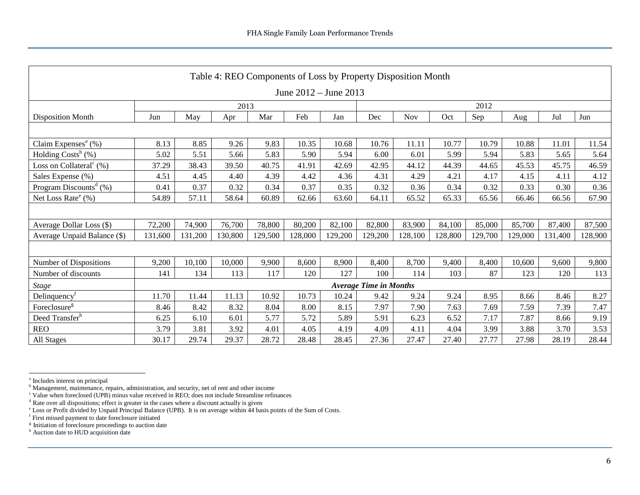<span id="page-6-0"></span>

| Table 4: REO Components of Loss by Property Disposition Month |         |         |         |         |         |         |                               |         |         |         |         |         |         |
|---------------------------------------------------------------|---------|---------|---------|---------|---------|---------|-------------------------------|---------|---------|---------|---------|---------|---------|
| June $2012 -$ June $2013$                                     |         |         |         |         |         |         |                               |         |         |         |         |         |         |
|                                                               | 2012    |         |         |         |         |         |                               |         |         |         |         |         |         |
| <b>Disposition Month</b>                                      | Jun     | May     | Apr     | Mar     | Feb     | Jan     | Dec                           | Nov     | Oct     | Sep     | Aug     | Jul     | Jun     |
|                                                               |         |         |         |         |         |         |                               |         |         |         |         |         |         |
| Claim Expenses <sup>a</sup> $(\%)$                            | 8.13    | 8.85    | 9.26    | 9.83    | 10.35   | 10.68   | 10.76                         | 11.11   | 10.77   | 10.79   | 10.88   | 11.01   | 11.54   |
| Holding Costs <sup>b</sup> (%)                                | 5.02    | 5.51    | 5.66    | 5.83    | 5.90    | 5.94    | 6.00                          | 6.01    | 5.99    | 5.94    | 5.83    | 5.65    | 5.64    |
| Loss on Collateral <sup>c</sup> $(\%)$                        | 37.29   | 38.43   | 39.50   | 40.75   | 41.91   | 42.69   | 42.95                         | 44.12   | 44.39   | 44.65   | 45.53   | 45.75   | 46.59   |
| Sales Expense (%)                                             | 4.51    | 4.45    | 4.40    | 4.39    | 4.42    | 4.36    | 4.31                          | 4.29    | 4.21    | 4.17    | 4.15    | 4.11    | 4.12    |
| Program Discounts <sup>d</sup> $(\%)$                         | 0.41    | 0.37    | 0.32    | 0.34    | 0.37    | 0.35    | 0.32                          | 0.36    | 0.34    | 0.32    | 0.33    | 0.30    | 0.36    |
| Net Loss Rate $^e$ (%)                                        | 54.89   | 57.11   | 58.64   | 60.89   | 62.66   | 63.60   | 64.11                         | 65.52   | 65.33   | 65.56   | 66.46   | 66.56   | 67.90   |
|                                                               |         |         |         |         |         |         |                               |         |         |         |         |         |         |
| Average Dollar Loss (\$)                                      | 72,200  | 74,900  | 76,700  | 78,800  | 80,200  | 82,100  | 82,800                        | 83,900  | 84,100  | 85,000  | 85,700  | 87,400  | 87,500  |
| Average Unpaid Balance (\$)                                   | 131,600 | 131,200 | 130,800 | 129,500 | 128,000 | 129,200 | 129,200                       | 128,100 | 128,800 | 129,700 | 129,000 | 131,400 | 128,900 |
|                                                               |         |         |         |         |         |         |                               |         |         |         |         |         |         |
| Number of Dispositions                                        | 9,200   | 10,100  | 10,000  | 9,900   | 8,600   | 8,900   | 8,400                         | 8,700   | 9,400   | 8,400   | 10,600  | 9,600   | 9,800   |
| Number of discounts                                           | 141     | 134     | 113     | 117     | 120     | 127     | 100                           | 114     | 103     | 87      | 123     | 120     | 113     |
| <b>Stage</b>                                                  |         |         |         |         |         |         | <b>Average Time in Months</b> |         |         |         |         |         |         |
| Delinquency <sup>1</sup>                                      | 11.70   | 11.44   | 11.13   | 10.92   | 10.73   | 10.24   | 9.42                          | 9.24    | 9.24    | 8.95    | 8.66    | 8.46    | 8.27    |
| Foreclosure <sup>g</sup>                                      | 8.46    | 8.42    | 8.32    | 8.04    | 8.00    | 8.15    | 7.97                          | 7.90    | 7.63    | 7.69    | 7.59    | 7.39    | 7.47    |
| Deed Transfer <sup>h</sup>                                    | 6.25    | 6.10    | 6.01    | 5.77    | 5.72    | 5.89    | 5.91                          | 6.23    | 6.52    | 7.17    | 7.87    | 8.66    | 9.19    |
| <b>REO</b>                                                    | 3.79    | 3.81    | 3.92    | 4.01    | 4.05    | 4.19    | 4.09                          | 4.11    | 4.04    | 3.99    | 3.88    | 3.70    | 3.53    |
| All Stages                                                    | 30.17   | 29.74   | 29.37   | 28.72   | 28.48   | 28.45   | 27.36                         | 27.47   | 27.40   | 27.77   | 27.98   | 28.19   | 28.44   |

<span id="page-6-1"></span><sup>&</sup>lt;sup>a</sup> Includes interest on principal

<sup>&</sup>lt;sup>b</sup> Management, maintenance, repairs, administration, and security, net of rent and other income

<sup>c</sup> Value when foreclosed (UPB) minus value received in REO; does not include Streamline refinances

<span id="page-6-2"></span><sup>&</sup>lt;sup>d</sup> Rate over all dispositions; effect is greater in the cases where a discount actually is given

<sup>e</sup> [Loss or Profit divided by Unpaid Principal Balance \(UPB\). It is on average within 44 basis points of the Sum of Costs.](#page-6-1) f First missed payment to date foreclosure initiated

<span id="page-6-3"></span><sup>&</sup>lt;sup>g</sup> Initiation of foreclosure proceedings to auction date

<sup>&</sup>lt;sup>h</sup> Auction date to HUD acquisition date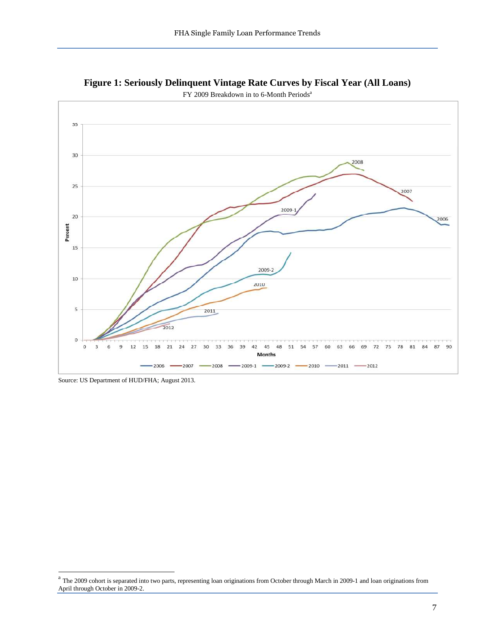

<span id="page-7-0"></span>**Figure 1: Seriously Delinquent Vintage Rate Curves by Fiscal Year (All Loans)**

FY 2009 Breakdown in to 6-Month Periods<sup>a</sup>

Source: US Department of HUD/FHA; August 2013.

<sup>&</sup>lt;sup>a</sup> The 2009 cohort is separated into two parts, representing loan originations from October through March in 2009-1 and loan originations from April through October in 2009-2.